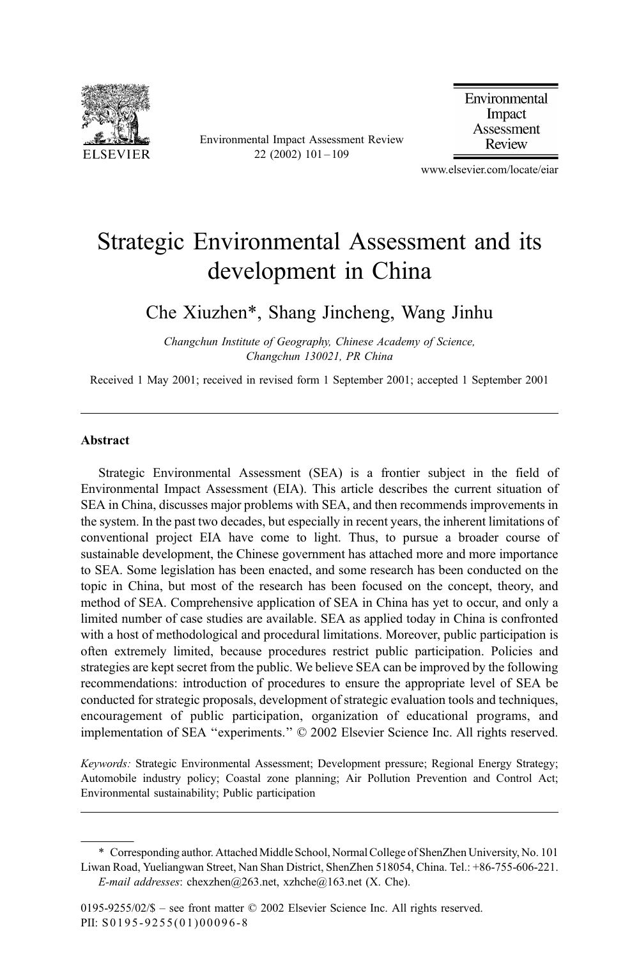

Environmental Impact Assessment Review 22 (2002) 101 – 109

Environmental Impact Assessment Review

www.elsevier.com/locate/eiar

## Strategic Environmental Assessment and its development in China

Che Xiuzhen\*, Shang Jincheng, Wang Jinhu

Changchun Institute of Geography, Chinese Academy of Science, Changchun 130021, PR China

Received 1 May 2001; received in revised form 1 September 2001; accepted 1 September 2001

#### Abstract

Strategic Environmental Assessment (SEA) is a frontier subject in the field of Environmental Impact Assessment (EIA). This article describes the current situation of SEA in China, discusses major problems with SEA, and then recommends improvements in the system. In the past two decades, but especially in recent years, the inherent limitations of conventional project EIA have come to light. Thus, to pursue a broader course of sustainable development, the Chinese government has attached more and more importance to SEA. Some legislation has been enacted, and some research has been conducted on the topic in China, but most of the research has been focused on the concept, theory, and method of SEA. Comprehensive application of SEA in China has yet to occur, and only a limited number of case studies are available. SEA as applied today in China is confronted with a host of methodological and procedural limitations. Moreover, public participation is often extremely limited, because procedures restrict public participation. Policies and strategies are kept secret from the public. We believe SEA can be improved by the following recommendations: introduction of procedures to ensure the appropriate level of SEA be conducted for strategic proposals, development of strategic evaluation tools and techniques, encouragement of public participation, organization of educational programs, and implementation of SEA "experiments."  $\odot$  2002 Elsevier Science Inc. All rights reserved.

Keywords: Strategic Environmental Assessment; Development pressure; Regional Energy Strategy; Automobile industry policy; Coastal zone planning; Air Pollution Prevention and Control Act; Environmental sustainability; Public participation

<sup>\*</sup> Corresponding author. Attached Middle School, Normal College of ShenZhen University, No. 101 Liwan Road, Yueliangwan Street, Nan Shan District, ShenZhen 518054, China. Tel.: +86-755-606-221. E-mail addresses: chexzhen@263.net, xzhche@163.net (X. Che).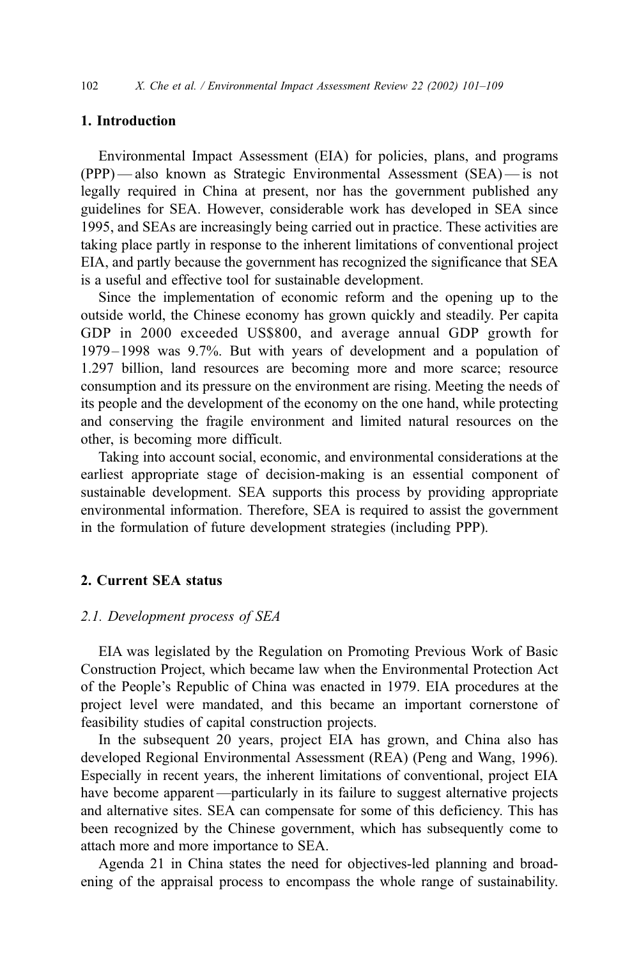## 1. Introduction

Environmental Impact Assessment (EIA) for policies, plans, and programs (PPP) — also known as Strategic Environmental Assessment (SEA) — is not legally required in China at present, nor has the government published any guidelines for SEA. However, considerable work has developed in SEA since 1995, and SEAs are increasingly being carried out in practice. These activities are taking place partly in response to the inherent limitations of conventional project EIA, and partly because the government has recognized the significance that SEA is a useful and effective tool for sustainable development.

Since the implementation of economic reform and the opening up to the outside world, the Chinese economy has grown quickly and steadily. Per capita GDP in 2000 exceeded US\$800, and average annual GDP growth for 1979 –1998 was 9.7%. But with years of development and a population of 1.297 billion, land resources are becoming more and more scarce; resource consumption and its pressure on the environment are rising. Meeting the needs of its people and the development of the economy on the one hand, while protecting and conserving the fragile environment and limited natural resources on the other, is becoming more difficult.

Taking into account social, economic, and environmental considerations at the earliest appropriate stage of decision-making is an essential component of sustainable development. SEA supports this process by providing appropriate environmental information. Therefore, SEA is required to assist the government in the formulation of future development strategies (including PPP).

## 2. Current SEA status

### 2.1. Development process of SEA

EIA was legislated by the Regulation on Promoting Previous Work of Basic Construction Project, which became law when the Environmental Protection Act of the People's Republic of China was enacted in 1979. EIA procedures at the project level were mandated, and this became an important cornerstone of feasibility studies of capital construction projects.

In the subsequent 20 years, project EIA has grown, and China also has developed Regional Environmental Assessment (REA) (Peng and Wang, 1996). Especially in recent years, the inherent limitations of conventional, project EIA have become apparent—particularly in its failure to suggest alternative projects and alternative sites. SEA can compensate for some of this deficiency. This has been recognized by the Chinese government, which has subsequently come to attach more and more importance to SEA.

Agenda 21 in China states the need for objectives-led planning and broadening of the appraisal process to encompass the whole range of sustainability.